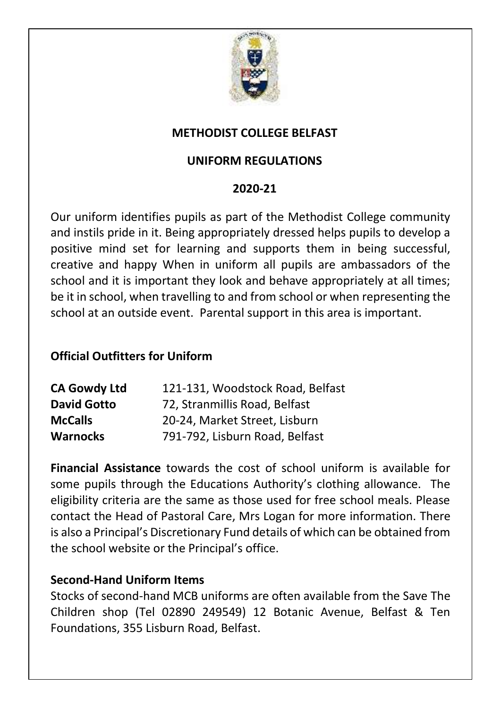

### **METHODIST COLLEGE BELFAST**

### **UNIFORM REGULATIONS**

#### **2020-21**

Our uniform identifies pupils as part of the Methodist College community and instils pride in it. Being appropriately dressed helps pupils to develop a positive mind set for learning and supports them in being successful, creative and happy When in uniform all pupils are ambassadors of the school and it is important they look and behave appropriately at all times; be it in school, when travelling to and from school or when representing the school at an outside event. Parental support in this area is important.

#### **Official Outfitters for Uniform**

| <b>CA Gowdy Ltd</b> | 121-131, Woodstock Road, Belfast |
|---------------------|----------------------------------|
| <b>David Gotto</b>  | 72, Stranmillis Road, Belfast    |
| <b>McCalls</b>      | 20-24, Market Street, Lisburn    |
| <b>Warnocks</b>     | 791-792, Lisburn Road, Belfast   |

**Financial Assistance** towards the cost of school uniform is available for some pupils through the Educations Authority's clothing allowance. The eligibility criteria are the same as those used for free school meals. Please contact the Head of Pastoral Care, Mrs Logan for more information. There is also a Principal's Discretionary Fund details of which can be obtained from the school website or the Principal's office.

#### **Second-Hand Uniform Items**

Stocks of second-hand MCB uniforms are often available from the Save The Children shop (Tel 02890 249549) 12 Botanic Avenue, Belfast & Ten Foundations, 355 Lisburn Road, Belfast.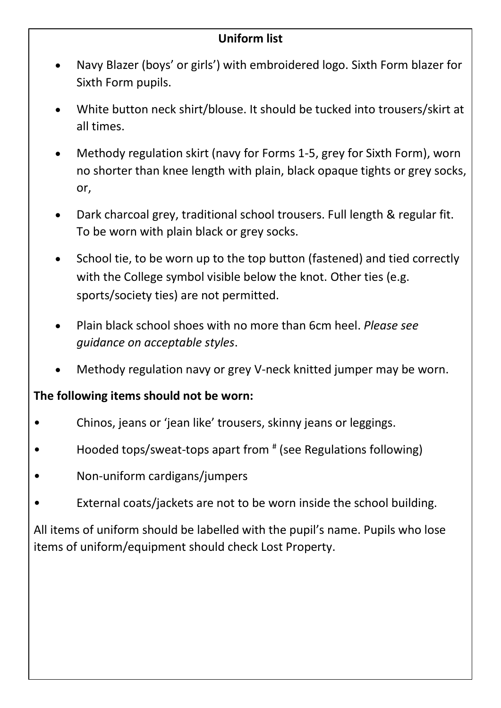## **Uniform list**

- Navy Blazer (boys' or girls') with embroidered logo. Sixth Form blazer for Sixth Form pupils.
- White button neck shirt/blouse. It should be tucked into trousers/skirt at all times.
- Methody regulation skirt (navy for Forms 1-5, grey for Sixth Form), worn no shorter than knee length with plain, black opaque tights or grey socks, or,
- Dark charcoal grey, traditional school trousers. Full length & regular fit. To be worn with plain black or grey socks.
- School tie, to be worn up to the top button (fastened) and tied correctly with the College symbol visible below the knot. Other ties (e.g. sports/society ties) are not permitted.
- Plain black school shoes with no more than 6cm heel. *Please see guidance on acceptable styles*.
- Methody regulation navy or grey V-neck knitted jumper may be worn.

# **The following items should not be worn:**

- Chinos, jeans or 'jean like' trousers, skinny jeans or leggings.
- Hooded tops/sweat-tops apart from  $*$  (see Regulations following)
- Non-uniform cardigans/jumpers
- External coats/jackets are not to be worn inside the school building.

All items of uniform should be labelled with the pupil's name. Pupils who lose items of uniform/equipment should check Lost Property.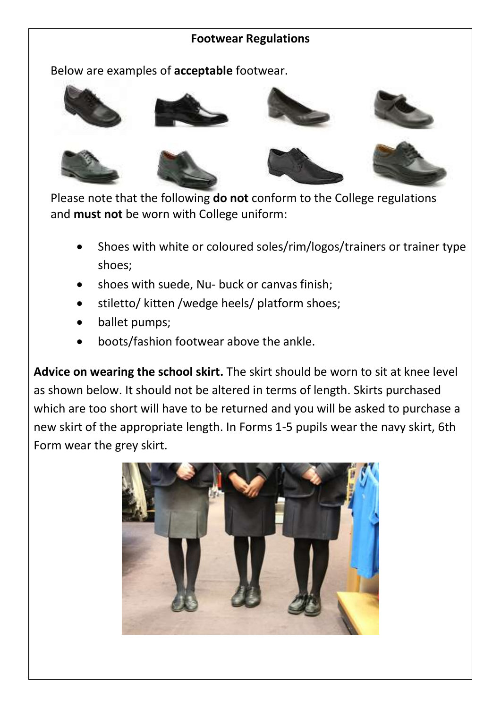#### **Footwear Regulations**

Below are examples of **acceptable** footwear.



Please note that t[he following](http://www.clarks.co.uk/p/20338616) **do not** co[nform to the Co](http://www.google.co.uk/imgres?imgurl=http://debenhams.scene7.com/is/image/Debenhams/084010442460?$ProdLarge$&imgrefurl=http://www.debenhams.com/webapp/wcs/stores/servlet/prod_10001_10001_084010442460_-1&usg=__ZTybmhTDJUhQ5iGxej-LwTikMCg=&h=383&w=383&sz=14&hl=en&start=126&zoom=1&tbnid=v9kFeVTQexeUZM:&tbnh=123&tbnw=123&ei=VCXFT-PHOYWx8QPHkZ3KCg&prev=/images?q=black+school+girls+lace+shoe+pictures&start=105&hl=en&sa=N&gbv=2&tbm=isch&itbs=1)llege regulations and **must not** be worn with College uniform:

- Shoes with white or coloured soles/rim/logos/trainers or trainer type shoes;
- shoes with suede, Nu- buck or canvas finish;
- stiletto/ kitten /wedge heels/ platform shoes;
- ballet pumps;
- boots/fashion footwear above the ankle.

**Advice on wearing the school skirt.** The skirt should be worn to sit at knee level as shown below. It should not be altered in terms of length. Skirts purchased which are too short will have to be returned and you will be asked to purchase a new skirt of the appropriate length. In Forms 1-5 pupils wear the navy skirt, 6th Form wear the grey skirt.

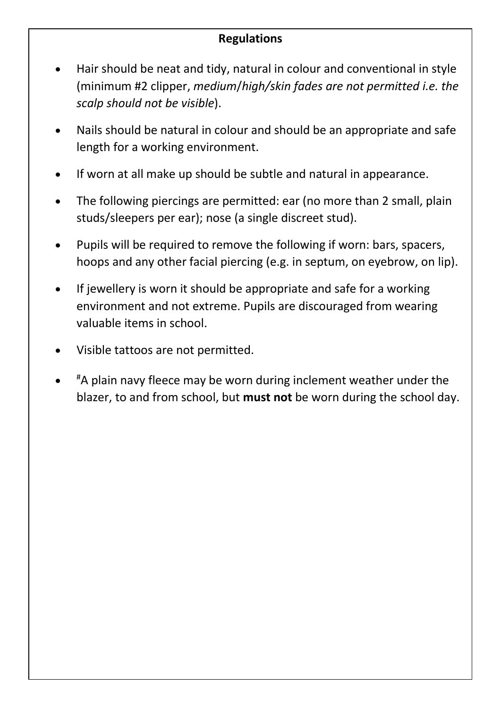## **Regulations**

- Hair should be neat and tidy, natural in colour and conventional in style (minimum #2 clipper, *medium*/*high/skin fades are not permitted i.e. the scalp should not be visible*).
- Nails should be natural in colour and should be an appropriate and safe length for a working environment.
- If worn at all make up should be subtle and natural in appearance.
- The following piercings are permitted: ear (no more than 2 small, plain studs/sleepers per ear); nose (a single discreet stud).
- Pupils will be required to remove the following if worn: bars, spacers, hoops and any other facial piercing (e.g. in septum, on eyebrow, on lip).
- If jewellery is worn it should be appropriate and safe for a working environment and not extreme. Pupils are discouraged from wearing valuable items in school.
- Visible tattoos are not permitted.
- $\bullet$ #A plain navy fleece may be worn during inclement weather under the blazer, to and from school, but **must not** be worn during the school day.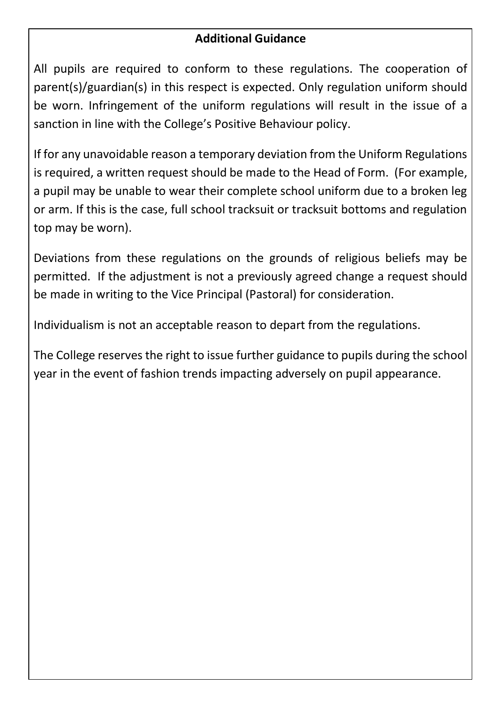## **Additional Guidance**

All pupils are required to conform to these regulations. The cooperation of parent(s)/guardian(s) in this respect is expected. Only regulation uniform should be worn. Infringement of the uniform regulations will result in the issue of a sanction in line with the College's Positive Behaviour policy.

If for any unavoidable reason a temporary deviation from the Uniform Regulations is required, a written request should be made to the Head of Form. (For example, a pupil may be unable to wear their complete school uniform due to a broken leg or arm. If this is the case, full school tracksuit or tracksuit bottoms and regulation top may be worn).

Deviations from these regulations on the grounds of religious beliefs may be permitted. If the adjustment is not a previously agreed change a request should be made in writing to the Vice Principal (Pastoral) for consideration.

Individualism is not an acceptable reason to depart from the regulations.

The College reserves the right to issue further guidance to pupils during the school year in the event of fashion trends impacting adversely on pupil appearance.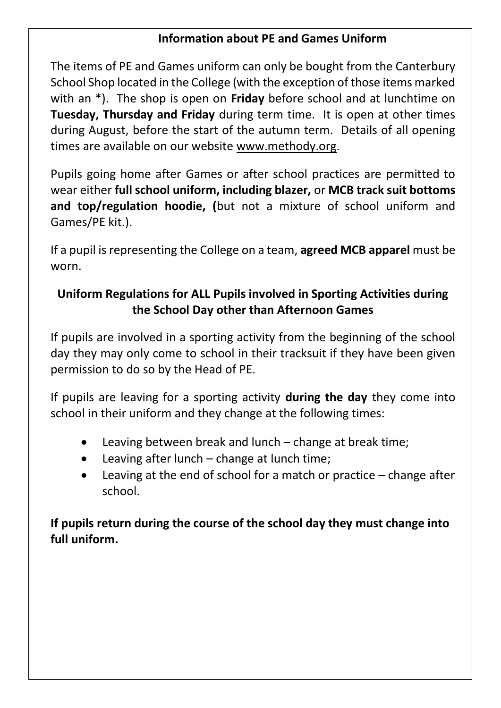### **Information about PE and Games Uniform**

The items of PE and Games uniform can only be bought from the Canterbury School Shop located in the College (with the exception of those items marked with an \*). The shop is open on **Friday** before school and at lunchtime on **Tuesday, Thursday and Friday** during term time. It is open at other times during August, before the start of the autumn term. Details of all opening times are available on our website www.methody.org.

Pupils going home after Games or after school practices are permitted to wear either **full school uniform, including blazer,** or **MCB track suit bottoms and top/regulation hoodie, (**but not a mixture of school uniform and Games/PE kit.).

If a pupil is representing the College on a team, **agreed MCB apparel** must be worn.

# **Uniform Regulations for ALL Pupils involved in Sporting Activities during the School Day other than Afternoon Games**

If pupils are involved in a sporting activity from the beginning of the school day they may only come to school in their tracksuit if they have been given permission to do so by the Head of PE.

If pupils are leaving for a sporting activity **during the day** they come into school in their uniform and they change at the following times:

- Leaving between break and lunch change at break time;
- Leaving after lunch change at lunch time;
- Leaving at the end of school for a match or practice change after school.

**If pupils return during the course of the school day they must change into full uniform.**